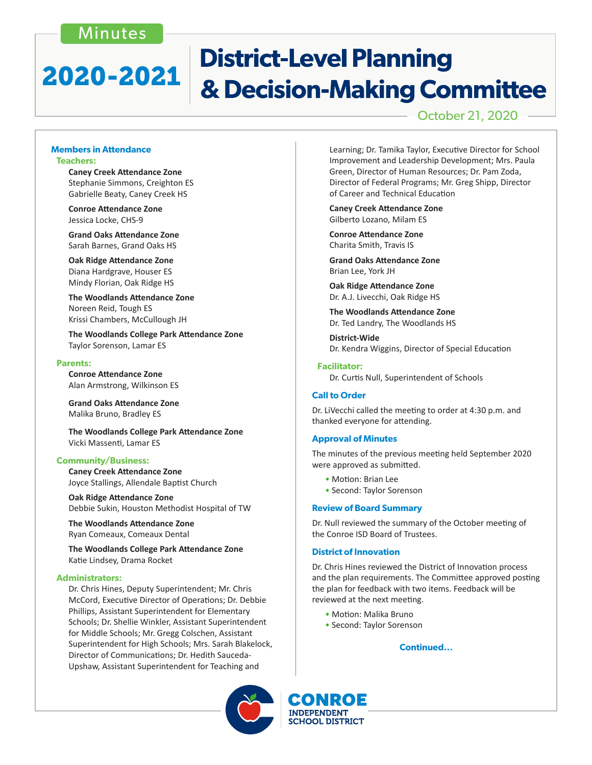# Minutes

# **District-Level Planning** 2020-2021 & Decision-Making Committee

October 21, 2020

#### **Members in Attendance Teachers:**

 **Caney Creek Attendance Zone** Stephanie Simmons, Creighton ES Gabrielle Beaty, Caney Creek HS

 **Conroe Attendance Zone** Jessica Locke, CHS-9

 **Grand Oaks Attendance Zone** Sarah Barnes, Grand Oaks HS

 **Oak Ridge Attendance Zone** Diana Hardgrave, Houser ES Mindy Florian, Oak Ridge HS

 **The Woodlands Attendance Zone** Noreen Reid, Tough ES Krissi Chambers, McCullough JH

 **The Woodlands College Park Attendance Zone** Taylor Sorenson, Lamar ES

#### **Parents:**

 **Conroe Attendance Zone** Alan Armstrong, Wilkinson ES

**Grand Oaks Attendance Zone** Malika Bruno, Bradley ES

 **The Woodlands College Park Attendance Zone** Vicki Massenti, Lamar ES

#### **Community/Business:**

 **Caney Creek Attendance Zone** Joyce Stallings, Allendale Baptist Church

**Oak Ridge Attendance Zone** Debbie Sukin, Houston Methodist Hospital of TW

**The Woodlands Attendance Zone** Ryan Comeaux, Comeaux Dental

**The Woodlands College Park Attendance Zone** Katie Lindsey, Drama Rocket

#### **Administrators:**

Dr. Chris Hines, Deputy Superintendent; Mr. Chris McCord, Executive Director of Operations; Dr. Debbie Phillips, Assistant Superintendent for Elementary Schools; Dr. Shellie Winkler, Assistant Superintendent for Middle Schools; Mr. Gregg Colschen, Assistant Superintendent for High Schools; Mrs. Sarah Blakelock, Director of Communications; Dr. Hedith Sauceda-Upshaw, Assistant Superintendent for Teaching and

Learning; Dr. Tamika Taylor, Executive Director for School Improvement and Leadership Development; Mrs. Paula Green, Director of Human Resources; Dr. Pam Zoda, Director of Federal Programs; Mr. Greg Shipp, Director of Career and Technical Education

 **Caney Creek Attendance Zone**  Gilberto Lozano, Milam ES

 **Conroe Attendance Zone**  Charita Smith, Travis IS

 **Grand Oaks Attendance Zone** Brian Lee, York JH

**Oak Ridge Attendance Zone**  Dr. A.J. Livecchi, Oak Ridge HS

 **The Woodlands Attendance Zone**  Dr. Ted Landry, The Woodlands HS

**District-Wide**  Dr. Kendra Wiggins, Director of Special Education

#### **Facilitator:**

 Dr. Curtis Null, Superintendent of Schools

#### **Call to Order**

Dr. LiVecchi called the meeting to order at 4:30 p.m. and thanked everyone for attending.

#### **Approval of Minutes**

The minutes of the previous meeting held September 2020 were approved as submitted.

- Motion: Brian Lee
- Second: Taylor Sorenson

#### **Review of Board Summary**

Dr. Null reviewed the summary of the October meeting of the Conroe ISD Board of Trustees.

#### **District of Innovation**

Dr. Chris Hines reviewed the District of Innovation process and the plan requirements. The Committee approved posting the plan for feedback with two items. Feedback will be reviewed at the next meeting.

- Motion: Malika Bruno
- Second: Taylor Sorenson

**Continued...**